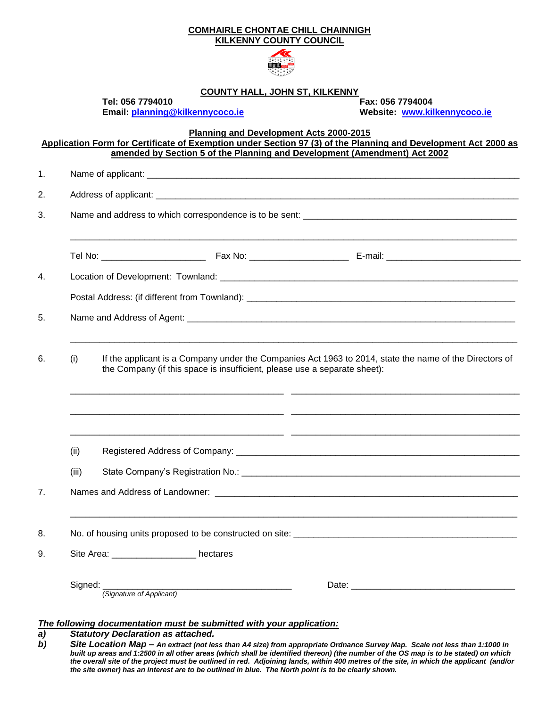|    |         |                                                                                                                                                                                     | <b>COMHAIRLE CHONTAE CHILL CHAINNIGH</b><br><b>KILKENNY COUNTY COUNCIL</b> |                                                                                                                                                                                             |  |  |
|----|---------|-------------------------------------------------------------------------------------------------------------------------------------------------------------------------------------|----------------------------------------------------------------------------|---------------------------------------------------------------------------------------------------------------------------------------------------------------------------------------------|--|--|
|    |         |                                                                                                                                                                                     |                                                                            |                                                                                                                                                                                             |  |  |
|    |         |                                                                                                                                                                                     | <b>COUNTY HALL, JOHN ST, KILKENNY</b>                                      |                                                                                                                                                                                             |  |  |
|    |         | Tel: 056 7794010                                                                                                                                                                    | Email: planning@kilkennycoco.ie                                            | Fax: 056 7794004<br>Website: www.kilkennycoco.ie                                                                                                                                            |  |  |
|    |         |                                                                                                                                                                                     | Planning and Development Acts 2000-2015                                    | Application Form for Certificate of Exemption under Section 97 (3) of the Planning and Development Act 2000 as<br>amended by Section 5 of the Planning and Development (Amendment) Act 2002 |  |  |
| 1. |         |                                                                                                                                                                                     |                                                                            |                                                                                                                                                                                             |  |  |
| 2. |         |                                                                                                                                                                                     |                                                                            |                                                                                                                                                                                             |  |  |
| 3. |         |                                                                                                                                                                                     |                                                                            |                                                                                                                                                                                             |  |  |
|    |         |                                                                                                                                                                                     |                                                                            |                                                                                                                                                                                             |  |  |
| 4. |         |                                                                                                                                                                                     |                                                                            |                                                                                                                                                                                             |  |  |
|    |         |                                                                                                                                                                                     |                                                                            |                                                                                                                                                                                             |  |  |
| 5. |         |                                                                                                                                                                                     |                                                                            |                                                                                                                                                                                             |  |  |
|    |         |                                                                                                                                                                                     |                                                                            |                                                                                                                                                                                             |  |  |
| 6. | (i)     | If the applicant is a Company under the Companies Act 1963 to 2014, state the name of the Directors of<br>the Company (if this space is insufficient, please use a separate sheet): |                                                                            |                                                                                                                                                                                             |  |  |
|    |         |                                                                                                                                                                                     |                                                                            |                                                                                                                                                                                             |  |  |
|    | (ii)    |                                                                                                                                                                                     |                                                                            |                                                                                                                                                                                             |  |  |
|    | (iii)   |                                                                                                                                                                                     |                                                                            |                                                                                                                                                                                             |  |  |
| 7. |         |                                                                                                                                                                                     |                                                                            |                                                                                                                                                                                             |  |  |
| 8. |         |                                                                                                                                                                                     |                                                                            |                                                                                                                                                                                             |  |  |
| 9. |         | Site Area: ___________________ hectares                                                                                                                                             |                                                                            |                                                                                                                                                                                             |  |  |
|    | Signed: |                                                                                                                                                                                     | (Signature of Applicant)                                                   |                                                                                                                                                                                             |  |  |
| a) |         | <b>Statutory Declaration as attached.</b>                                                                                                                                           | The following documentation must be submitted with your application:       |                                                                                                                                                                                             |  |  |

*b) Site Location Map – An extract (not less than A4 size) from appropriate Ordnance Survey Map. Scale not less than 1:1000 in built up areas and 1:2500 in all other areas (which shall be identified thereon) (the number of the OS map is to be stated) on which the overall site of the project must be outlined in red. Adjoining lands, within 400 metres of the site, in which the applicant (and/or the site owner) has an interest are to be outlined in blue. The North point is to be clearly shown.*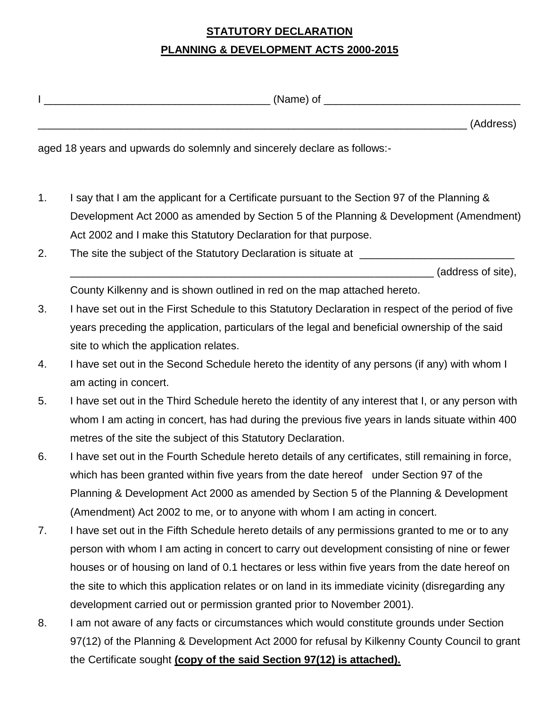## **STATUTORY DECLARATION PLANNING & DEVELOPMENT ACTS 2000-2015**

|    | __________________________________ (Name) of ___________                                            |  |  |  |  |
|----|-----------------------------------------------------------------------------------------------------|--|--|--|--|
|    | (Address)                                                                                           |  |  |  |  |
|    | aged 18 years and upwards do solemnly and sincerely declare as follows:-                            |  |  |  |  |
| 1. | I say that I am the applicant for a Certificate pursuant to the Section 97 of the Planning &        |  |  |  |  |
|    | Development Act 2000 as amended by Section 5 of the Planning & Development (Amendment)              |  |  |  |  |
|    | Act 2002 and I make this Statutory Declaration for that purpose.                                    |  |  |  |  |
| 2. | The site the subject of the Statutory Declaration is situate at _________________                   |  |  |  |  |
|    | (address of site),                                                                                  |  |  |  |  |
|    | County Kilkenny and is shown outlined in red on the map attached hereto.                            |  |  |  |  |
| 3. | I have set out in the First Schedule to this Statutory Declaration in respect of the period of five |  |  |  |  |
|    | years preceding the application, particulars of the legal and beneficial ownership of the said      |  |  |  |  |
|    | site to which the application relates.                                                              |  |  |  |  |
| 4. | I have set out in the Second Schedule hereto the identity of any persons (if any) with whom I       |  |  |  |  |
|    | am acting in concert.                                                                               |  |  |  |  |
| 5. | I have set out in the Third Schedule hereto the identity of any interest that I, or any person with |  |  |  |  |
|    | whom I am acting in concert, has had during the previous five years in lands situate within 400     |  |  |  |  |
|    | metres of the site the subject of this Statutory Declaration.                                       |  |  |  |  |
| 6. | I have set out in the Fourth Schedule hereto details of any certificates, still remaining in force, |  |  |  |  |
|    | which has been granted within five years from the date hereof under Section 97 of the               |  |  |  |  |
|    | Planning & Development Act 2000 as amended by Section 5 of the Planning & Development               |  |  |  |  |
|    | (Amendment) Act 2002 to me, or to anyone with whom I am acting in concert.                          |  |  |  |  |
| 7. | I have set out in the Fifth Schedule hereto details of any permissions granted to me or to any      |  |  |  |  |
|    | person with whom I am acting in concert to carry out development consisting of nine or fewer        |  |  |  |  |
|    | houses or of housing on land of 0.1 hectares or less within five years from the date hereof on      |  |  |  |  |
|    | the site to which this application relates or on land in its immediate vicinity (disregarding any   |  |  |  |  |
|    | development carried out or permission granted prior to November 2001).                              |  |  |  |  |
| 8. | I am not aware of any facts or circumstances which would constitute grounds under Section           |  |  |  |  |
|    | 97(12) of the Planning & Development Act 2000 for refusal by Kilkenny County Council to grant       |  |  |  |  |
|    | the Certificate sought (copy of the said Section 97(12) is attached).                               |  |  |  |  |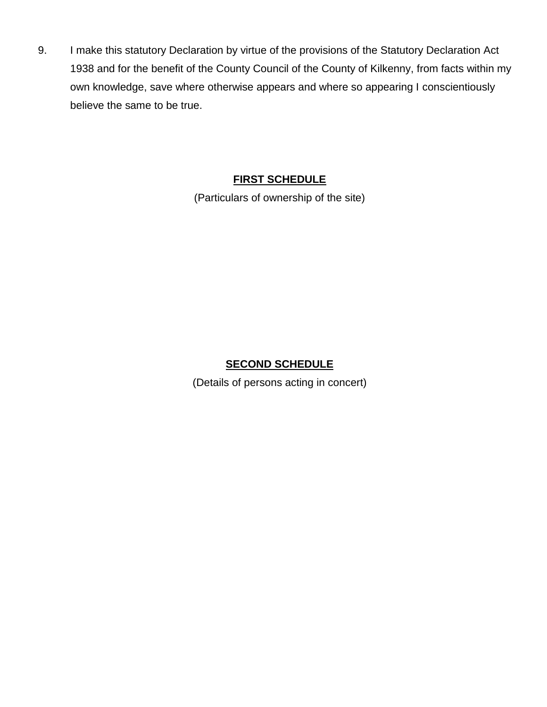9. I make this statutory Declaration by virtue of the provisions of the Statutory Declaration Act 1938 and for the benefit of the County Council of the County of Kilkenny, from facts within my own knowledge, save where otherwise appears and where so appearing I conscientiously believe the same to be true.

### **FIRST SCHEDULE**

(Particulars of ownership of the site)

### **SECOND SCHEDULE**

(Details of persons acting in concert)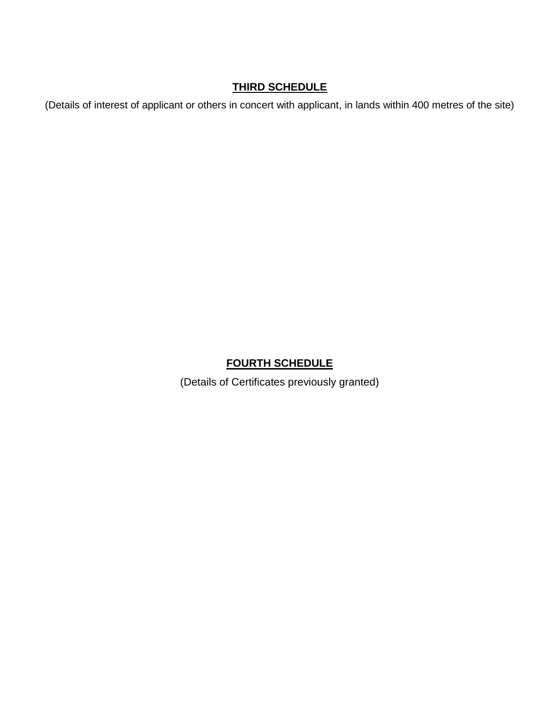#### **THIRD SCHEDULE**

(Details of interest of applicant or others in concert with applicant, in lands within 400 metres of the site)

#### **FOURTH SCHEDULE**

(Details of Certificates previously granted)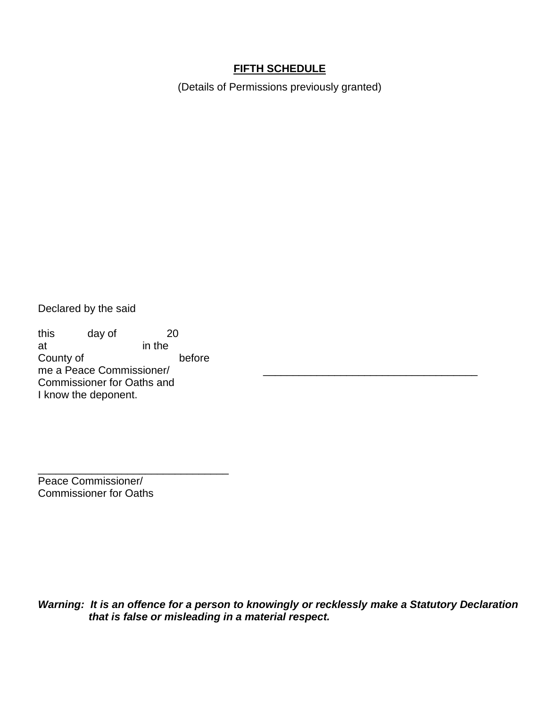#### **FIFTH SCHEDULE**

(Details of Permissions previously granted)

Declared by the said

this day of 20 at in the at County of before me a Peace Commissioner/ Commissioner for Oaths and I know the deponent.

\_\_\_\_\_\_\_\_\_\_\_\_\_\_\_\_\_\_\_\_\_\_\_\_\_\_\_\_\_\_\_\_

Peace Commissioner/ Commissioner for Oaths

*Warning: It is an offence for a person to knowingly or recklessly make a Statutory Declaration that is false or misleading in a material respect.*